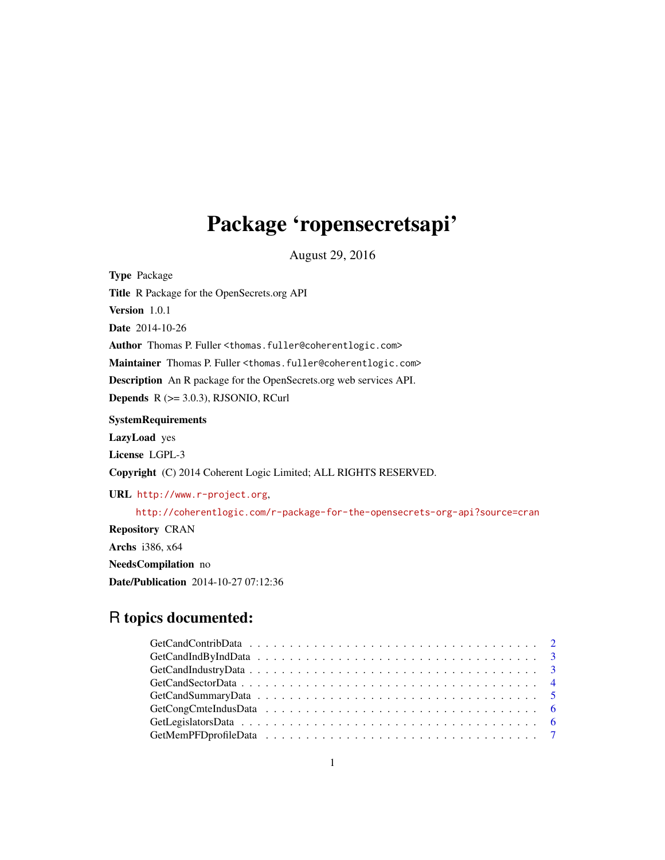## Package 'ropensecretsapi'

August 29, 2016

Type Package Title R Package for the OpenSecrets.org API Version 1.0.1 Date 2014-10-26 Author Thomas P. Fuller <thomas.fuller@coherentlogic.com> Maintainer Thomas P. Fuller <thomas.fuller@coherentlogic.com> Description An R package for the OpenSecrets.org web services API. **Depends**  $R$  ( $>= 3.0.3$ ), RJSONIO, RCurl **SystemRequirements** LazyLoad yes License LGPL-3 Copyright (C) 2014 Coherent Logic Limited; ALL RIGHTS RESERVED. URL <http://www.r-project.org>, <http://coherentlogic.com/r-package-for-the-opensecrets-org-api?source=cran> Repository CRAN Archs i386, x64 NeedsCompilation no

Date/Publication 2014-10-27 07:12:36

## R topics documented: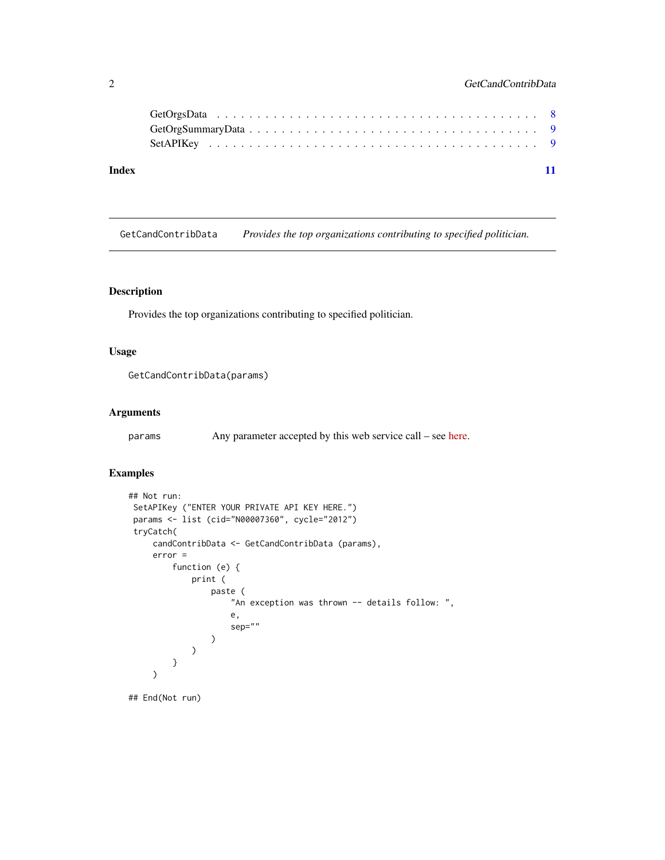<span id="page-1-0"></span>

| Index |  |
|-------|--|

GetCandContribData *Provides the top organizations contributing to specified politician.*

## Description

Provides the top organizations contributing to specified politician.

## Usage

```
GetCandContribData(params)
```
## Arguments

params Any parameter accepted by this web service call – see [here.](https://www.opensecrets.org/api/?output=doc&method=candContrib)

## Examples

```
## Not run:
SetAPIKey ("ENTER YOUR PRIVATE API KEY HERE.")
params <- list (cid="N00007360", cycle="2012")
tryCatch(
    candContribData <- GetCandContribData (params),
     error =
         function (e) {
             print (
                 paste (
                     "An exception was thrown -- details follow: ",
                     e,
                     sep=""
                 )
             )
         }
    )
## End(Not run)
```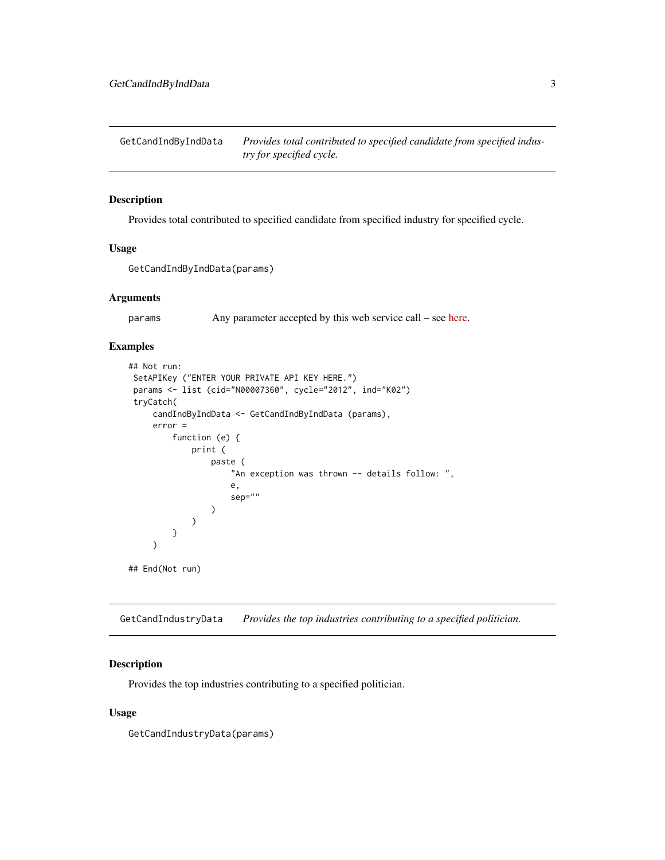<span id="page-2-0"></span>GetCandIndByIndData *Provides total contributed to specified candidate from specified industry for specified cycle.*

## Description

Provides total contributed to specified candidate from specified industry for specified cycle.

## Usage

GetCandIndByIndData(params)

## Arguments

params Any parameter accepted by this web service call – see [here.](https://www.opensecrets.org/api/?output=doc&method=candIndByInd)

## Examples

```
## Not run:
SetAPIKey ("ENTER YOUR PRIVATE API KEY HERE.")
params <- list (cid="N00007360", cycle="2012", ind="K02")
tryCatch(
     candIndByIndData <- GetCandIndByIndData (params),
     error =
        function (e) {
             print (
                 paste (
                     "An exception was thrown -- details follow: ",
                     e,
                     sep=""
                 )
             )
         }
     )
## End(Not run)
```
GetCandIndustryData *Provides the top industries contributing to a specified politician.*

## Description

Provides the top industries contributing to a specified politician.

### Usage

GetCandIndustryData(params)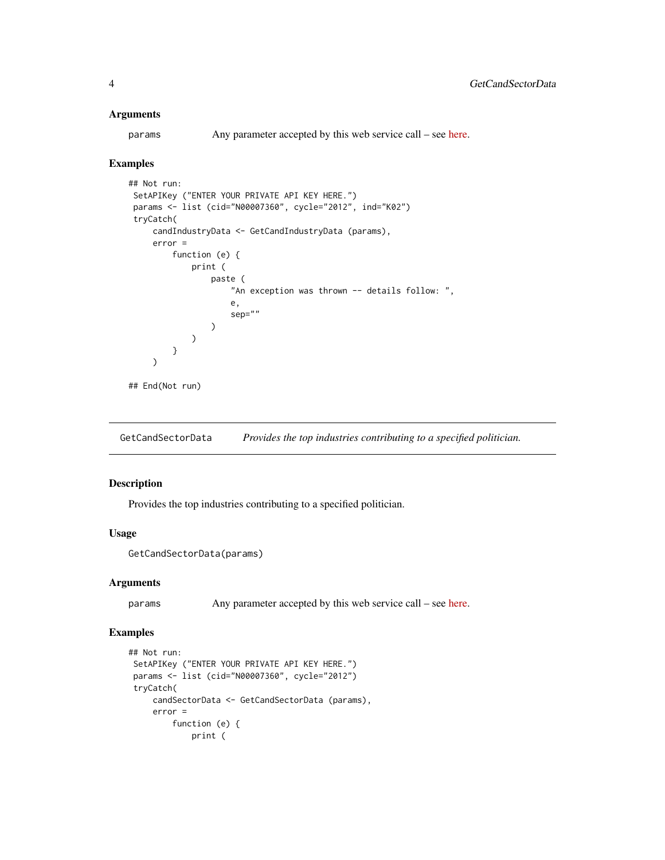## <span id="page-3-0"></span>**Arguments**

params Any parameter accepted by this web service call – see [here.](https://www.opensecrets.org/api/?output=doc&method=candIndustry)

## Examples

```
## Not run:
SetAPIKey ("ENTER YOUR PRIVATE API KEY HERE.")
params <- list (cid="N00007360", cycle="2012", ind="K02")
tryCatch(
    candIndustryData <- GetCandIndustryData (params),
    error =
         function (e) {
             print (
                 paste (
                     "An exception was thrown -- details follow: ",
                     e,
                     sep=""
                 )
             )
         }
     )
## End(Not run)
```
GetCandSectorData *Provides the top industries contributing to a specified politician.*

## Description

Provides the top industries contributing to a specified politician.

## Usage

GetCandSectorData(params)

## Arguments

params Any parameter accepted by this web service call – see [here.](https://www.opensecrets.org/api/?output=doc&method=candSector)

## Examples

```
## Not run:
SetAPIKey ("ENTER YOUR PRIVATE API KEY HERE.")
params <- list (cid="N00007360", cycle="2012")
tryCatch(
    candSectorData <- GetCandSectorData (params),
    error =
        function (e) {
            print (
```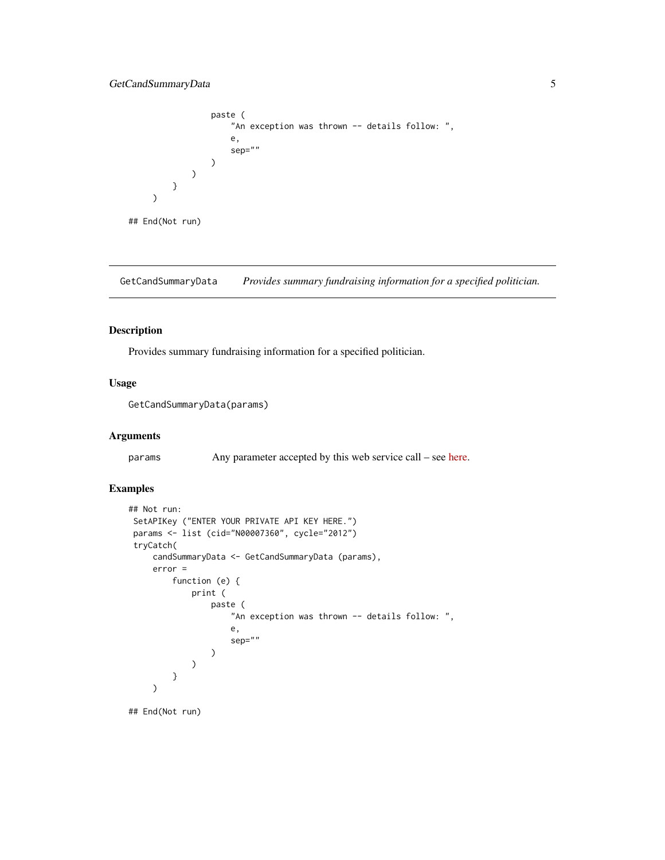```
paste (
                     "An exception was thrown -- details follow: ",
                     e,
                     sep=""
                 )
             )
         }
     )
## End(Not run)
```
GetCandSummaryData *Provides summary fundraising information for a specified politician.*

## Description

Provides summary fundraising information for a specified politician.

## Usage

```
GetCandSummaryData(params)
```
## Arguments

params Any parameter accepted by this web service call – see [here.](https://www.opensecrets.org/api/?output=doc&method=candSummary)

## Examples

```
## Not run:
SetAPIKey ("ENTER YOUR PRIVATE API KEY HERE.")
params <- list (cid="N00007360", cycle="2012")
tryCatch(
    candSummaryData <- GetCandSummaryData (params),
    error =
         function (e) {
             print (
                 paste (
                     "An exception was thrown -- details follow: ",
                     e,
                     sep=""
                 )
             )
        }
     )
```
## End(Not run)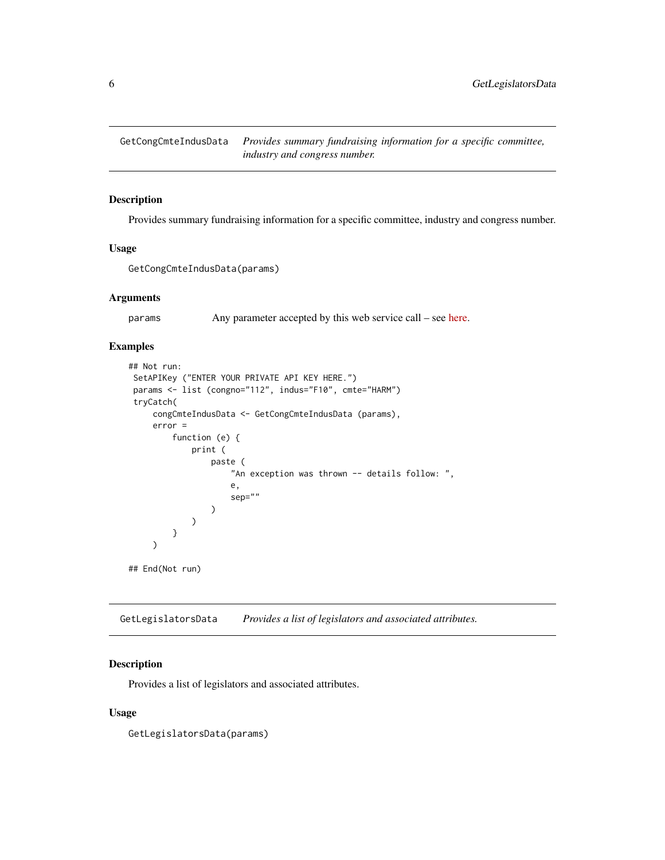<span id="page-5-0"></span>

## Description

Provides summary fundraising information for a specific committee, industry and congress number.

## Usage

```
GetCongCmteIndusData(params)
```
## Arguments

params Any parameter accepted by this web service call – see [here.](https://www.opensecrets.org/api/?output=doc&method=congCmteIndus)

## Examples

```
## Not run:
SetAPIKey ("ENTER YOUR PRIVATE API KEY HERE.")
params <- list (congno="112", indus="F10", cmte="HARM")
 tryCatch(
     congCmteIndusData <- GetCongCmteIndusData (params),
     error =
        function (e) {
             print (
                 paste (
                     "An exception was thrown -- details follow: ",
                     e,
                     sep=""
                 )
             )
         }
     )
## End(Not run)
```
GetLegislatorsData *Provides a list of legislators and associated attributes.*

## Description

Provides a list of legislators and associated attributes.

### Usage

GetLegislatorsData(params)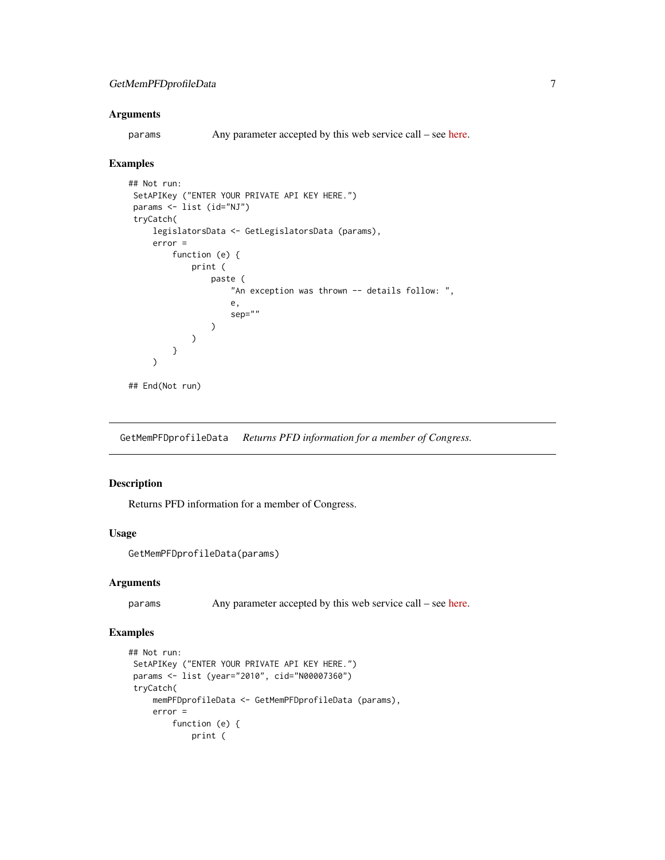## <span id="page-6-0"></span>**Arguments**

params Any parameter accepted by this web service call – see [here.](https://www.opensecrets.org/api/?output=doc&method=getLegislators)

#### Examples

```
## Not run:
SetAPIKey ("ENTER YOUR PRIVATE API KEY HERE.")
params <- list (id="NJ")
tryCatch(
     legislatorsData <- GetLegislatorsData (params),
     error =
         function (e) {
             print (
                 paste (
                     "An exception was thrown -- details follow: ",
                     e,
                     sep=""
                 )
             )
         }
     )
## End(Not run)
```
GetMemPFDprofileData *Returns PFD information for a member of Congress.*

## Description

Returns PFD information for a member of Congress.

## Usage

```
GetMemPFDprofileData(params)
```
## Arguments

params Any parameter accepted by this web service call – see [here.](https://www.opensecrets.org/api/?output=doc&method=memPFDprofile)

## Examples

```
## Not run:
SetAPIKey ("ENTER YOUR PRIVATE API KEY HERE.")
params <- list (year="2010", cid="N00007360")
tryCatch(
    memPFDprofileData <- GetMemPFDprofileData (params),
    error =
        function (e) {
            print (
```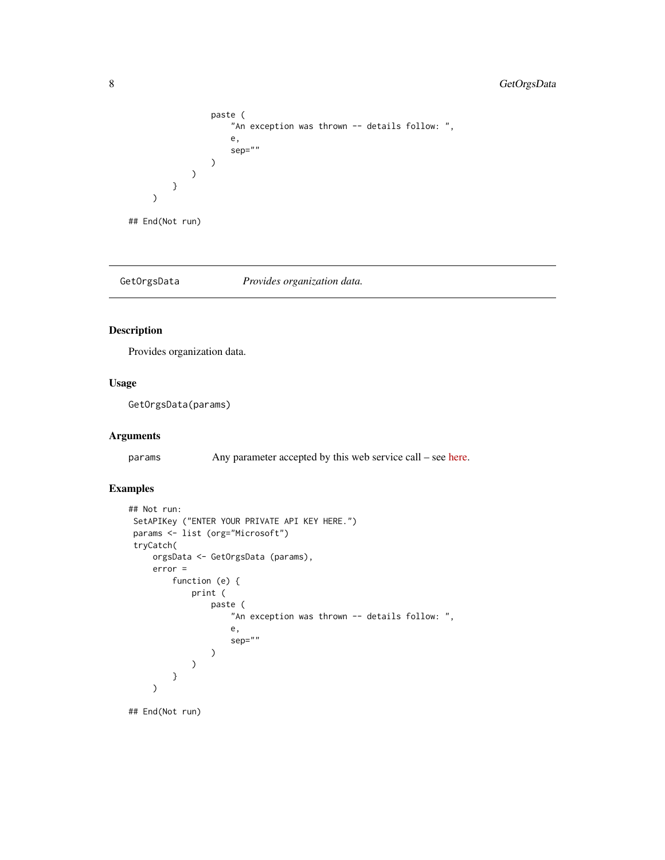```
paste (
                         "An exception was thrown -- details follow: ",
                        e,
                        sep=""
                    )
               \lambda}
     \mathcal{L}## End(Not run)
```
GetOrgsData *Provides organization data.*

## Description

Provides organization data.

## Usage

GetOrgsData(params)

## Arguments

params Any parameter accepted by this web service call – see [here.](https://www.opensecrets.org/api/?output=doc&method=getOrgs)

## Examples

```
## Not run:
SetAPIKey ("ENTER YOUR PRIVATE API KEY HERE.")
params <- list (org="Microsoft")
tryCatch(
     orgsData <- GetOrgsData (params),
     error =
         function (e) {
             print (
                 paste (
                     "An exception was thrown -- details follow: ",
                     e,
                     sep=""
                 )
             \lambda}
     )
```
## End(Not run)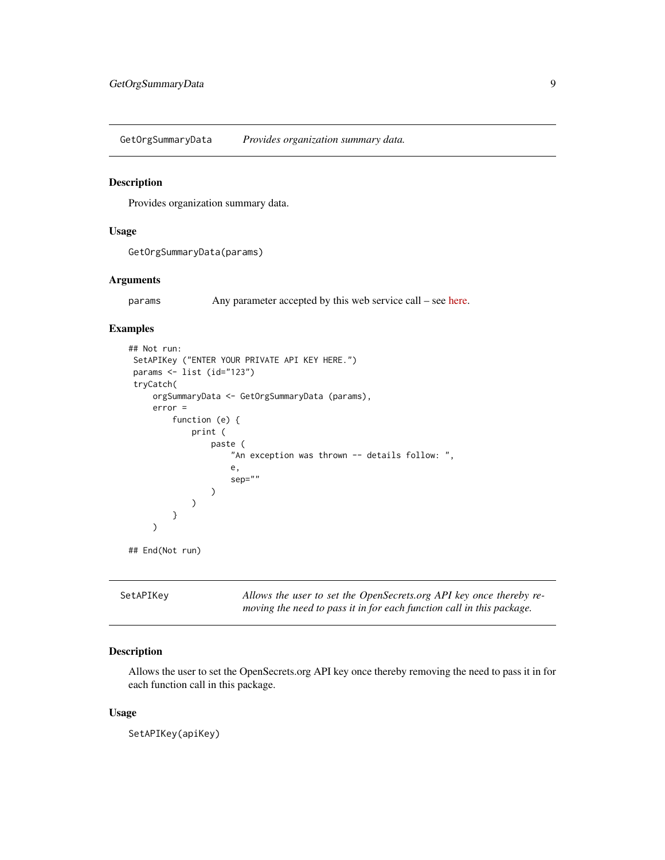<span id="page-8-0"></span>GetOrgSummaryData *Provides organization summary data.*

## Description

Provides organization summary data.

## Usage

GetOrgSummaryData(params)

## Arguments

params Any parameter accepted by this web service call – see [here.](https://www.opensecrets.org/api/?output=doc&method=orgSummary)

## Examples

```
## Not run:
SetAPIKey ("ENTER YOUR PRIVATE API KEY HERE.")
params <- list (id="123")
 tryCatch(
     orgSummaryData <- GetOrgSummaryData (params),
     error =
          function (e) {
              print (
                  paste (
                       "An exception was thrown -- details follow: ",
                       e,
                       sep=""
                  )
              )
          }
     \overline{\phantom{a}}## End(Not run)
```
SetAPIKey *Allows the user to set the OpenSecrets.org API key once thereby removing the need to pass it in for each function call in this package.*

## Description

Allows the user to set the OpenSecrets.org API key once thereby removing the need to pass it in for each function call in this package.

## Usage

SetAPIKey(apiKey)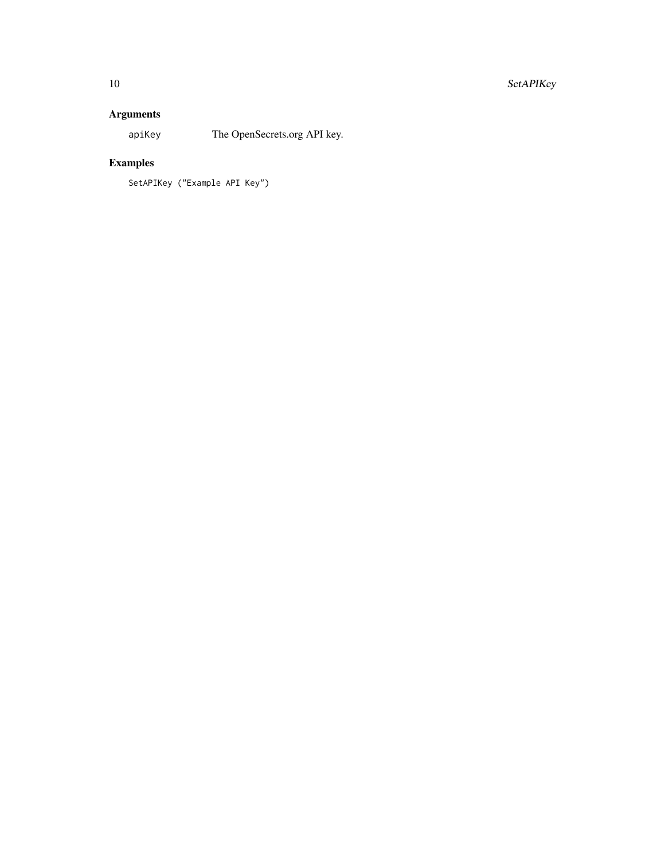## Arguments

apiKey The OpenSecrets.org API key.

## Examples

SetAPIKey ("Example API Key")